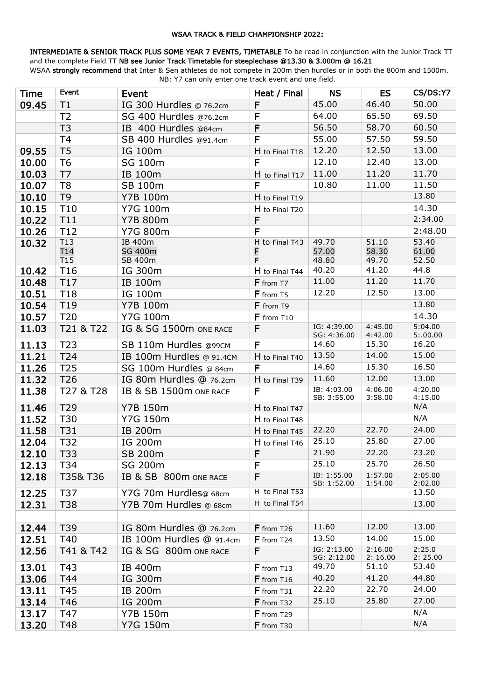#### WSAA TRACK & FIELD CHAMPIONSHIP 2022:

INTERMEDIATE & SENIOR TRACK PLUS SOME YEAR 7 EVENTS, TIMETABLE To be read in conjunction with the Junior Track TT and the complete Field TT NB see Junior Track Timetable for steeplechase @13.30 & 3.000m @ 16.21

WSAA strongly recommend that Inter & Sen athletes do not compete in 200m then hurdles or in both the 800m and 1500m. NB: Y7 can only enter one track event and one field.

| <b>Time</b> | Event                  | Event                     | Heat / Final   | <b>NS</b>                  | <b>ES</b>          | CS/DS:Y7           |
|-------------|------------------------|---------------------------|----------------|----------------------------|--------------------|--------------------|
| 09.45       | Τ1                     | IG 300 Hurdles @ 76.2cm   | F              | 45.00                      | 46.40              | 50.00              |
|             | T <sub>2</sub>         | SG 400 Hurdles @76.2cm    | $\mathsf{F}$   | 64.00                      | 65.50              | 69.50              |
|             | T <sub>3</sub>         | IB 400 Hurdles @84cm      | F              | 56.50                      | 58.70              | 60.50              |
|             | T <sub>4</sub>         | SB 400 Hurdles @91.4cm    | F              | 55.00                      | 57.50              | 59.50              |
| 09.55       | T <sub>5</sub>         | IG 100m                   | H to Final T18 | 12.20                      | 12.50              | 13.00              |
| 10.00       | T <sub>6</sub>         | SG 100m                   | F              | 12.10                      | 12.40              | 13.00              |
| 10.03       | T7                     | IB 100m                   | H to Final T17 | 11.00                      | 11.20              | 11.70              |
| 10.07       | T <sub>8</sub>         | SB 100m                   | F              | 10.80                      | 11.00              | 11.50              |
| 10.10       | T <sub>9</sub>         | <b>Y7B 100m</b>           | H to Final T19 |                            |                    | 13.80              |
| 10.15       | T <sub>10</sub>        | Y7G 100m                  | H to Final T20 |                            |                    | 14.30              |
| 10.22       | T11                    | <b>Y7B 800m</b>           | F              |                            |                    | 2:34.00            |
| 10.26       | T12                    | <b>Y7G 800m</b>           | F              |                            |                    | 2:48.00            |
| 10.32       | T13                    | IB 400m                   | H to Final T43 | 49.70                      | 51.10              | 53.40              |
|             | T14<br>T <sub>15</sub> | <b>SG 400m</b><br>SB 400m | F<br>F         | 57.00<br>48.80             | 58.30<br>49.70     | 61.00<br>52.50     |
| 10.42       | T <sub>16</sub>        | IG 300m                   | H to Final T44 | 40.20                      | 41.20              | 44.8               |
| 10.48       | T17                    | IB 100m                   | F from T7      | 11.00                      | 11.20              | 11.70              |
| 10.51       | T18                    | IG 100m                   | F from T5      | 12.20                      | 12.50              | 13.00              |
| 10.54       | T19                    | <b>Y7B 100m</b>           | F from T9      |                            |                    | 13.80              |
| 10.57       | T <sub>20</sub>        | Y7G 100m                  | F from T10     |                            |                    | 14.30              |
| 11.03       | T21 & T22              | IG & SG 1500m ONE RACE    | F              | IG: 4:39.00<br>SG: 4:36.00 | 4:45.00<br>4:42.00 | 5:04.00<br>5:00.00 |
| 11.13       | T <sub>23</sub>        | SB 110m Hurdles @99CM     | F              | 14.60                      | 15.30              | 16.20              |
| 11.21       | T24                    | IB 100m Hurdles @ 91.4CM  | H to Final T40 | 13.50                      | 14.00              | 15.00              |
| 11.26       | T <sub>25</sub>        | SG 100m Hurdles @ 84cm    | F              | 14.60                      | 15.30              | 16.50              |
| 11.32       | T <sub>26</sub>        | IG 80m Hurdles @ 76.2cm   | H to Final T39 | 11.60                      | 12.00              | 13.00              |
| 11.38       | T27 & T28              | IB & SB 1500m ONE RACE    | F              | IB: 4:03.00<br>SB: 3:55.00 | 4:06.00<br>3:58.00 | 4:20.00<br>4:15.00 |
| 11.46       | T29                    | <b>Y7B 150m</b>           | H to Final T47 |                            |                    | N/A                |
| 11.52       | T30                    | <b>Y7G 150m</b>           | H to Final T48 |                            |                    | N/A                |
| 11.58       | T31                    | IB 200m                   | H to Final T45 | 22.20                      | 22.70              | 24.00              |
| 12.04       | T32                    | IG 200m                   | H to Final T46 | 25.10                      | 25.80              | 27.00              |
| 12.10       | T33                    | <b>SB 200m</b>            | F              | 21.90                      | 22.20              | 23.20              |
| 12.13       | T34                    | SG 200m                   | F              | 25.10                      | 25.70              | 26.50              |
| 12.18       | T35&T36                | IB & SB 800m ONE RACE     | F              | IB: 1:55.00<br>SB: 1:52.00 | 1:57.00<br>1:54.00 | 2:05.00<br>2:02.00 |
| 12.25       | T37                    | Y7G 70m Hurdles@ 68cm     | H to Final T53 |                            |                    | 13.50              |
| 12.31       | T38                    | Y7B 70m Hurdles @ 68cm    | H to Final T54 |                            |                    | 13.00              |
| 12.44       | T39                    | IG 80m Hurdles @ 76.2cm   | F from T26     | 11.60                      | 12.00              | 13.00              |
| 12.51       | T40                    | IB 100m Hurdles @ 91.4cm  | $F$ from T24   | 13.50                      | 14.00              | 15.00              |
| 12.56       | T41 & T42              | IG & SG 800m ONE RACE     | F              | IG: 2:13.00<br>SG: 2:12.00 | 2:16.00<br>2:16.00 | 2:25.0<br>2:25.00  |
| 13.01       | T43                    | IB 400m                   | $F$ from T13   | 49.70                      | 51.10              | 53.40              |
| 13.06       | T44                    | IG 300m                   | $F$ from T16   | 40.20                      | 41.20              | 44.80              |
| 13.11       | T45                    | IB 200m                   | F from T31     | 22.20                      | 22.70              | 24.00              |
| 13.14       | T46                    | IG 200m                   | F from T32     | 25.10                      | 25.80              | 27.00              |
| 13.17       | T47                    | Y7B 150m                  | F from T29     |                            |                    | N/A                |
| 13.20       | T48                    | Y7G 150m                  | F from T30     |                            |                    | N/A                |